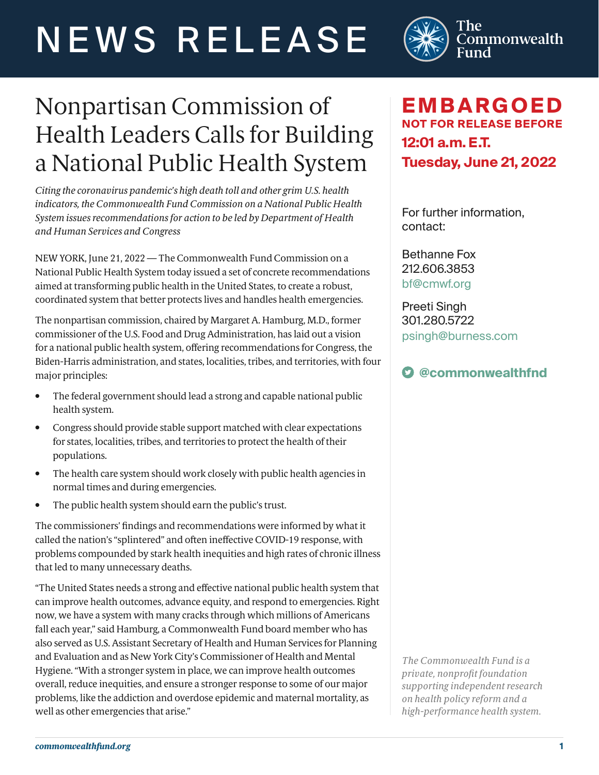# NEWS RELEASE



# Nonpartisan Commission of Health Leaders Calls for Building a National Public Health System

*Citing the coronavirus pandemic's high death toll and other grim U.S. health indicators, the Commonwealth Fund Commission on a National Public Health System issues recommendations for action to be led by Department of Health and Human Services and Congress*

NEW YORK, June 21, 2022 — The Commonwealth Fund Commission on a National Public Health System today issued a set of concrete recommendations aimed at transforming public health in the United States, to create a robust, coordinated system that better protects lives and handles health emergencies.

The nonpartisan commission, chaired by Margaret A. Hamburg, M.D., former commissioner of the U.S. Food and Drug Administration, has laid out a vision for a national public health system, offering recommendations for Congress, the Biden-Harris administration, and states, localities, tribes, and territories, with four major principles:

- The federal government should lead a strong and capable national public health system.
- Congress should provide stable support matched with clear expectations for states, localities, tribes, and territories to protect the health of their populations.
- The health care system should work closely with public health agencies in normal times and during emergencies.
- The public health system should earn the public's trust.

The commissioners' findings and recommendations were informed by what it called the nation's "splintered" and often ineffective COVID-19 response, with problems compounded by stark health inequities and high rates of chronic illness that led to many unnecessary deaths.

"The United States needs a strong and effective national public health system that can improve health outcomes, advance equity, and respond to emergencies. Right now, we have a system with many cracks through which millions of Americans fall each year," said Hamburg, a Commonwealth Fund board member who has also served as U.S. Assistant Secretary of Health and Human Services for Planning and Evaluation and as New York City's Commissioner of Health and Mental Hygiene. "With a stronger system in place, we can improve health outcomes overall, reduce inequities, and ensure a stronger response to some of our major problems, like the addiction and overdose epidemic and maternal mortality, as well as other emergencies that arise."

## **EMBARGOED NOT FOR RELEASE BEFORE 12:01 a.m. E.T. Tuesday, June 21, 2022**

For further information, contact:

Bethanne Fox 212.606.3853 [bf@cmwf.org](mailto:bf%40cmwf.org?subject=)

Preeti Singh 301.280.5722 [psingh@burness.com](mailto:psingh%40burness.com?subject=)

### **[@commonwealthfnd](https://twitter.com/commonwealthfnd)**

*The Commonwealth Fund is a private, nonprofit foundation supporting independent research on health policy reform and a high-performance health system.*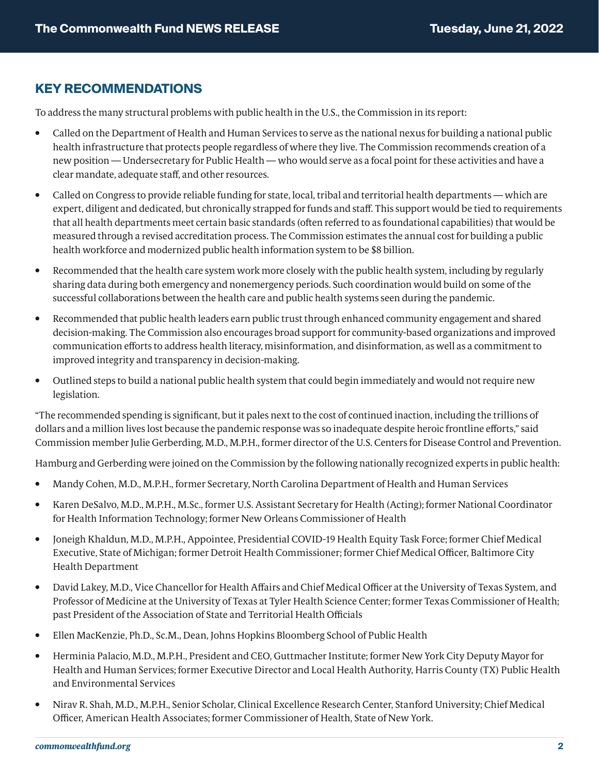#### **KEY RECOMMENDATIONS**

To address the many structural problems with public health in the U.S., the Commission in its report:

- Called on the Department of Health and Human Services to serve as the national nexus for building a national public health infrastructure that protects people regardless of where they live. The Commission recommends creation of a new position — Undersecretary for Public Health — who would serve as a focal point for these activities and have a clear mandate, adequate staff, and other resources.
- Called on Congress to provide reliable funding for state, local, tribal and territorial health departments which are expert, diligent and dedicated, but chronically strapped for funds and staff. This support would be tied to requirements that all health departments meet certain basic standards (often referred to as foundational capabilities) that would be measured through a revised accreditation process. The Commission estimates the annual cost for building a public health workforce and modernized public health information system to be \$8 billion.
- Recommended that the health care system work more closely with the public health system, including by regularly sharing data during both emergency and nonemergency periods. Such coordination would build on some of the successful collaborations between the health care and public health systems seen during the pandemic.
- Recommended that public health leaders earn public trust through enhanced community engagement and shared decision-making. The Commission also encourages broad support for community-based organizations and improved communication efforts to address health literacy, misinformation, and disinformation, as well as a commitment to improved integrity and transparency in decision-making.
- Outlined steps to build a national public health system that could begin immediately and would not require new legislation.

"The recommended spending is significant, but it pales next to the cost of continued inaction, including the trillions of dollars and a million lives lost because the pandemic response was so inadequate despite heroic frontline efforts," said Commission member Julie Gerberding, M.D., M.P.H., former director of the U.S. Centers for Disease Control and Prevention.

Hamburg and Gerberding were joined on the Commission by the following nationally recognized experts in public health:

- Mandy Cohen, M.D., M.P.H., former Secretary, North Carolina Department of Health and Human Services
- Karen DeSalvo, M.D., M.P.H., M.Sc., former U.S. Assistant Secretary for Health (Acting); former National Coordinator for Health Information Technology; former New Orleans Commissioner of Health
- Joneigh Khaldun, M.D., M.P.H., Appointee, Presidential COVID-19 Health Equity Task Force; former Chief Medical Executive, State of Michigan; former Detroit Health Commissioner; former Chief Medical Officer, Baltimore City Health Department
- David Lakey, M.D., Vice Chancellor for Health Affairs and Chief Medical Officer at the University of Texas System, and Professor of Medicine at the University of Texas at Tyler Health Science Center; former Texas Commissioner of Health; past President of the Association of State and Territorial Health Officials
- Ellen MacKenzie, Ph.D., Sc.M., Dean, Johns Hopkins Bloomberg School of Public Health
- Herminia Palacio, M.D., M.P.H., President and CEO, Guttmacher Institute; former New York City Deputy Mayor for Health and Human Services; former Executive Director and Local Health Authority, Harris County (TX) Public Health and Environmental Services
- Nirav R. Shah, M.D., M.P.H., Senior Scholar, Clinical Excellence Research Center, Stanford University; Chief Medical Officer, American Health Associates; former Commissioner of Health, State of New York.